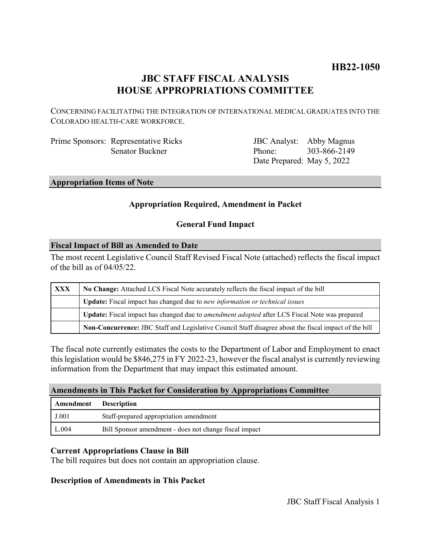# **HB22-1050**

# **JBC STAFF FISCAL ANALYSIS HOUSE APPROPRIATIONS COMMITTEE**

CONCERNING FACILITATING THE INTEGRATION OF INTERNATIONAL MEDICAL GRADUATES INTO THE COLORADO HEALTH-CARE WORKFORCE.

Prime Sponsors: Representative Ricks Senator Buckner

JBC Analyst: Abby Magnus Phone: Date Prepared: May 5, 2022 303-866-2149

#### **Appropriation Items of Note**

## **Appropriation Required, Amendment in Packet**

## **General Fund Impact**

#### **Fiscal Impact of Bill as Amended to Date**

The most recent Legislative Council Staff Revised Fiscal Note (attached) reflects the fiscal impact of the bill as of 04/05/22.

| XXX | No Change: Attached LCS Fiscal Note accurately reflects the fiscal impact of the bill                       |
|-----|-------------------------------------------------------------------------------------------------------------|
|     | <b>Update:</b> Fiscal impact has changed due to new information or technical issues                         |
|     | <b>Update:</b> Fiscal impact has changed due to <i>amendment adopted</i> after LCS Fiscal Note was prepared |
|     | Non-Concurrence: JBC Staff and Legislative Council Staff disagree about the fiscal impact of the bill       |

The fiscal note currently estimates the costs to the Department of Labor and Employment to enact this legislation would be \$846,275 in FY 2022-23, however the fiscal analyst is currently reviewing information from the Department that may impact this estimated amount.

#### **Amendments in This Packet for Consideration by Appropriations Committee**

| Amendment | <b>Description</b>                                     |
|-----------|--------------------------------------------------------|
| J.001     | Staff-prepared appropriation amendment                 |
| L.004     | Bill Sponsor amendment - does not change fiscal impact |

## **Current Appropriations Clause in Bill**

The bill requires but does not contain an appropriation clause.

## **Description of Amendments in This Packet**